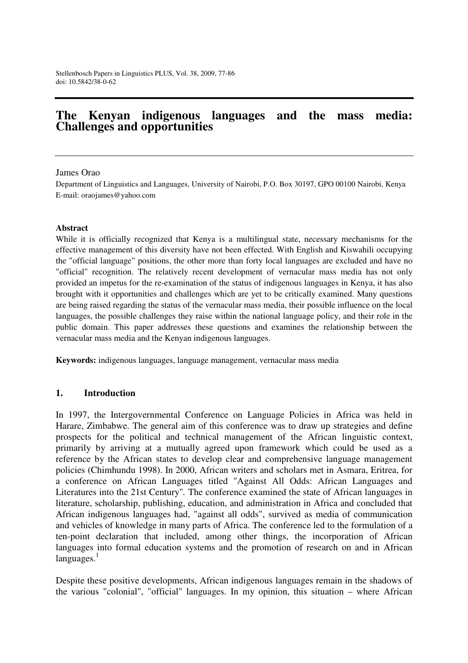# **The Kenyan indigenous languages and the mass media: Challenges and opportunities**

#### James Orao

Department of Linguistics and Languages, University of Nairobi, P.O. Box 30197, GPO 00100 Nairobi, Kenya E-mail: oraojames@yahoo.com

#### **Abstract**

While it is officially recognized that Kenya is a multilingual state, necessary mechanisms for the effective management of this diversity have not been effected. With English and Kiswahili occupying the "official language" positions, the other more than forty local languages are excluded and have no "official" recognition. The relatively recent development of vernacular mass media has not only provided an impetus for the re-examination of the status of indigenous languages in Kenya, it has also brought with it opportunities and challenges which are yet to be critically examined. Many questions are being raised regarding the status of the vernacular mass media, their possible influence on the local languages, the possible challenges they raise within the national language policy, and their role in the public domain. This paper addresses these questions and examines the relationship between the vernacular mass media and the Kenyan indigenous languages.

**Keywords:** indigenous languages, language management, vernacular mass media

#### **1. Introduction**

In 1997, the Intergovernmental Conference on Language Policies in Africa was held in Harare, Zimbabwe. The general aim of this conference was to draw up strategies and define prospects for the political and technical management of the African linguistic context, primarily by arriving at a mutually agreed upon framework which could be used as a reference by the African states to develop clear and comprehensive language management policies (Chimhundu 1998). In 2000, African writers and scholars met in Asmara, Eritrea, for a conference on African Languages titled "Against All Odds: African Languages and Literatures into the 21st Century"*.* The conference examined the state of African languages in literature, scholarship, publishing, education, and administration in Africa and concluded that African indigenous languages had, "against all odds", survived as media of communication and vehicles of knowledge in many parts of Africa. The conference led to the formulation of a ten-point declaration that included, among other things, the incorporation of African languages into formal education systems and the promotion of research on and in African  $languages.<sup>1</sup>$ 

Despite these positive developments, African indigenous languages remain in the shadows of the various "colonial", "official" languages. In my opinion, this situation – where African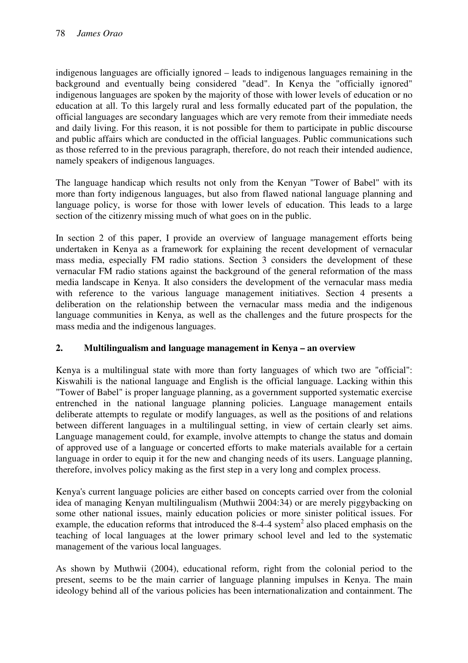indigenous languages are officially ignored – leads to indigenous languages remaining in the background and eventually being considered "dead". In Kenya the "officially ignored" indigenous languages are spoken by the majority of those with lower levels of education or no education at all. To this largely rural and less formally educated part of the population, the official languages are secondary languages which are very remote from their immediate needs and daily living. For this reason, it is not possible for them to participate in public discourse and public affairs which are conducted in the official languages. Public communications such as those referred to in the previous paragraph, therefore, do not reach their intended audience, namely speakers of indigenous languages.

The language handicap which results not only from the Kenyan "Tower of Babel" with its more than forty indigenous languages, but also from flawed national language planning and language policy, is worse for those with lower levels of education. This leads to a large section of the citizenry missing much of what goes on in the public.

In section 2 of this paper, I provide an overview of language management efforts being undertaken in Kenya as a framework for explaining the recent development of vernacular mass media, especially FM radio stations. Section 3 considers the development of these vernacular FM radio stations against the background of the general reformation of the mass media landscape in Kenya. It also considers the development of the vernacular mass media with reference to the various language management initiatives. Section 4 presents a deliberation on the relationship between the vernacular mass media and the indigenous language communities in Kenya, as well as the challenges and the future prospects for the mass media and the indigenous languages.

### **2. Multilingualism and language management in Kenya – an overview**

Kenya is a multilingual state with more than forty languages of which two are "official": Kiswahili is the national language and English is the official language. Lacking within this "Tower of Babel" is proper language planning, as a government supported systematic exercise entrenched in the national language planning policies. Language management entails deliberate attempts to regulate or modify languages, as well as the positions of and relations between different languages in a multilingual setting, in view of certain clearly set aims. Language management could, for example, involve attempts to change the status and domain of approved use of a language or concerted efforts to make materials available for a certain language in order to equip it for the new and changing needs of its users. Language planning, therefore, involves policy making as the first step in a very long and complex process.

Kenya's current language policies are either based on concepts carried over from the colonial idea of managing Kenyan multilingualism (Muthwii 2004:34) or are merely piggybacking on some other national issues, mainly education policies or more sinister political issues. For example, the education reforms that introduced the 8-4-4 system<sup>2</sup> also placed emphasis on the teaching of local languages at the lower primary school level and led to the systematic management of the various local languages.

As shown by Muthwii (2004), educational reform, right from the colonial period to the present, seems to be the main carrier of language planning impulses in Kenya. The main ideology behind all of the various policies has been internationalization and containment. The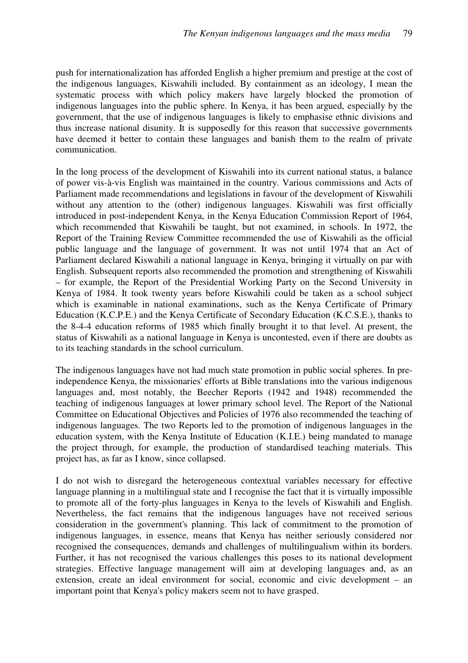push for internationalization has afforded English a higher premium and prestige at the cost of the indigenous languages, Kiswahili included. By containment as an ideology, I mean the systematic process with which policy makers have largely blocked the promotion of indigenous languages into the public sphere. In Kenya, it has been argued, especially by the government, that the use of indigenous languages is likely to emphasise ethnic divisions and thus increase national disunity. It is supposedly for this reason that successive governments have deemed it better to contain these languages and banish them to the realm of private communication.

In the long process of the development of Kiswahili into its current national status, a balance of power vis-à-vis English was maintained in the country. Various commissions and Acts of Parliament made recommendations and legislations in favour of the development of Kiswahili without any attention to the (other) indigenous languages. Kiswahili was first officially introduced in post-independent Kenya, in the Kenya Education Commission Report of 1964, which recommended that Kiswahili be taught, but not examined, in schools. In 1972, the Report of the Training Review Committee recommended the use of Kiswahili as the official public language and the language of government. It was not until 1974 that an Act of Parliament declared Kiswahili a national language in Kenya, bringing it virtually on par with English. Subsequent reports also recommended the promotion and strengthening of Kiswahili – for example, the Report of the Presidential Working Party on the Second University in Kenya of 1984. It took twenty years before Kiswahili could be taken as a school subject which is examinable in national examinations, such as the Kenya Certificate of Primary Education (K.C.P.E.) and the Kenya Certificate of Secondary Education (K.C.S.E.), thanks to the 8-4-4 education reforms of 1985 which finally brought it to that level. At present, the status of Kiswahili as a national language in Kenya is uncontested, even if there are doubts as to its teaching standards in the school curriculum.

The indigenous languages have not had much state promotion in public social spheres. In preindependence Kenya, the missionaries' efforts at Bible translations into the various indigenous languages and, most notably, the Beecher Reports (1942 and 1948) recommended the teaching of indigenous languages at lower primary school level. The Report of the National Committee on Educational Objectives and Policies of 1976 also recommended the teaching of indigenous languages. The two Reports led to the promotion of indigenous languages in the education system, with the Kenya Institute of Education (K.I.E.) being mandated to manage the project through, for example, the production of standardised teaching materials. This project has, as far as I know, since collapsed.

I do not wish to disregard the heterogeneous contextual variables necessary for effective language planning in a multilingual state and I recognise the fact that it is virtually impossible to promote all of the forty-plus languages in Kenya to the levels of Kiswahili and English. Nevertheless, the fact remains that the indigenous languages have not received serious consideration in the government's planning. This lack of commitment to the promotion of indigenous languages, in essence, means that Kenya has neither seriously considered nor recognised the consequences, demands and challenges of multilingualism within its borders. Further, it has not recognised the various challenges this poses to its national development strategies. Effective language management will aim at developing languages and, as an extension, create an ideal environment for social, economic and civic development – an important point that Kenya's policy makers seem not to have grasped.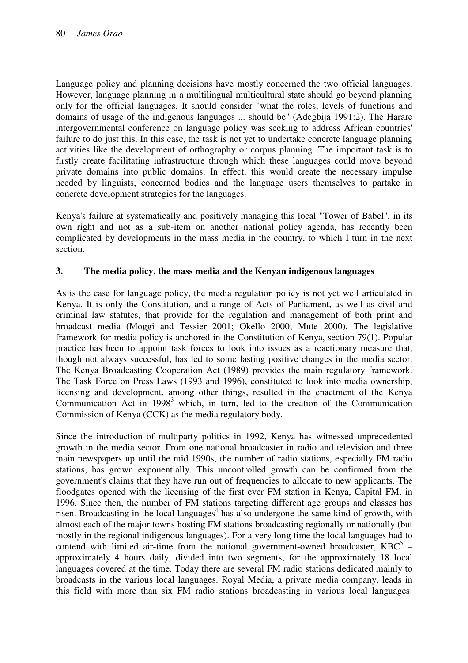Language policy and planning decisions have mostly concerned the two official languages. However, language planning in a multilingual multicultural state should go beyond planning only for the official languages. It should consider "what the roles, levels of functions and domains of usage of the indigenous languages ... should be" (Adegbija 1991:2). The Harare intergovernmental conference on language policy was seeking to address African countries' failure to do just this. In this case, the task is not yet to undertake concrete language planning activities like the development of orthography or corpus planning. The important task is to firstly create facilitating infrastructure through which these languages could move beyond private domains into public domains. In effect, this would create the necessary impulse needed by linguists, concerned bodies and the language users themselves to partake in concrete development strategies for the languages.

Kenya's failure at systematically and positively managing this local "Tower of Babel", in its own right and not as a sub-item on another national policy agenda, has recently been complicated by developments in the mass media in the country, to which I turn in the next section.

## **3. The media policy, the mass media and the Kenyan indigenous languages**

As is the case for language policy, the media regulation policy is not yet well articulated in Kenya. It is only the Constitution, and a range of Acts of Parliament, as well as civil and criminal law statutes, that provide for the regulation and management of both print and broadcast media (Moggi and Tessier 2001; Okello 2000; Mute 2000). The legislative framework for media policy is anchored in the Constitution of Kenya, section 79(1). Popular practice has been to appoint task forces to look into issues as a reactionary measure that, though not always successful, has led to some lasting positive changes in the media sector. The Kenya Broadcasting Cooperation Act (1989) provides the main regulatory framework. The Task Force on Press Laws (1993 and 1996), constituted to look into media ownership, licensing and development, among other things, resulted in the enactment of the Kenya Communication Act in 1998<sup>3</sup> which, in turn, led to the creation of the Communication Commission of Kenya (CCK) as the media regulatory body.

Since the introduction of multiparty politics in 1992, Kenya has witnessed unprecedented growth in the media sector. From one national broadcaster in radio and television and three main newspapers up until the mid 1990s, the number of radio stations, especially FM radio stations, has grown exponentially. This uncontrolled growth can be confirmed from the government's claims that they have run out of frequencies to allocate to new applicants. The floodgates opened with the licensing of the first ever FM station in Kenya, Capital FM, in 1996. Since then, the number of FM stations targeting different age groups and classes has risen. Broadcasting in the local languages<sup>4</sup> has also undergone the same kind of growth, with almost each of the major towns hosting FM stations broadcasting regionally or nationally (but mostly in the regional indigenous languages). For a very long time the local languages had to contend with limited air-time from the national government-owned broadcaster,  $KBC<sup>5</sup>$  – approximately 4 hours daily, divided into two segments, for the approximately 18 local languages covered at the time. Today there are several FM radio stations dedicated mainly to broadcasts in the various local languages. Royal Media, a private media company, leads in this field with more than six FM radio stations broadcasting in various local languages: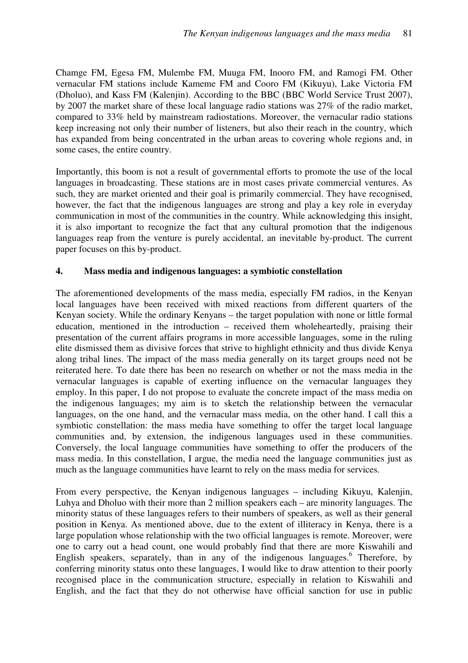Chamge FM, Egesa FM, Mulembe FM, Muuga FM, Inooro FM, and Ramogi FM. Other vernacular FM stations include Kameme FM and Cooro FM (Kikuyu), Lake Victoria FM (Dholuo), and Kass FM (Kalenjin). According to the BBC (BBC World Service Trust 2007), by 2007 the market share of these local language radio stations was 27% of the radio market, compared to 33% held by mainstream radiostations. Moreover, the vernacular radio stations keep increasing not only their number of listeners, but also their reach in the country, which has expanded from being concentrated in the urban areas to covering whole regions and, in some cases, the entire country.

Importantly, this boom is not a result of governmental efforts to promote the use of the local languages in broadcasting. These stations are in most cases private commercial ventures. As such, they are market oriented and their goal is primarily commercial. They have recognised, however, the fact that the indigenous languages are strong and play a key role in everyday communication in most of the communities in the country. While acknowledging this insight, it is also important to recognize the fact that any cultural promotion that the indigenous languages reap from the venture is purely accidental, an inevitable by-product. The current paper focuses on this by-product.

### **4. Mass media and indigenous languages: a symbiotic constellation**

The aforementioned developments of the mass media, especially FM radios, in the Kenyan local languages have been received with mixed reactions from different quarters of the Kenyan society. While the ordinary Kenyans – the target population with none or little formal education, mentioned in the introduction – received them wholeheartedly, praising their presentation of the current affairs programs in more accessible languages, some in the ruling elite dismissed them as divisive forces that strive to highlight ethnicity and thus divide Kenya along tribal lines. The impact of the mass media generally on its target groups need not be reiterated here. To date there has been no research on whether or not the mass media in the vernacular languages is capable of exerting influence on the vernacular languages they employ. In this paper, I do not propose to evaluate the concrete impact of the mass media on the indigenous languages; my aim is to sketch the relationship between the vernacular languages, on the one hand, and the vernacular mass media, on the other hand. I call this a symbiotic constellation: the mass media have something to offer the target local language communities and, by extension, the indigenous languages used in these communities. Conversely, the local language communities have something to offer the producers of the mass media. In this constellation, I argue, the media need the language communities just as much as the language communities have learnt to rely on the mass media for services.

From every perspective, the Kenyan indigenous languages – including Kikuyu, Kalenjin, Luhya and Dholuo with their more than 2 million speakers each – are minority languages. The minority status of these languages refers to their numbers of speakers, as well as their general position in Kenya. As mentioned above, due to the extent of illiteracy in Kenya, there is a large population whose relationship with the two official languages is remote. Moreover, were one to carry out a head count, one would probably find that there are more Kiswahili and English speakers, separately, than in any of the indigenous languages. <sup>6</sup> Therefore, by conferring minority status onto these languages, I would like to draw attention to their poorly recognised place in the communication structure, especially in relation to Kiswahili and English, and the fact that they do not otherwise have official sanction for use in public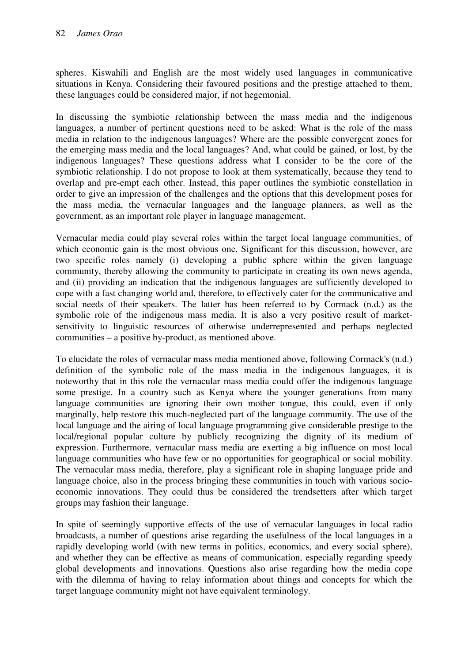spheres. Kiswahili and English are the most widely used languages in communicative situations in Kenya. Considering their favoured positions and the prestige attached to them, these languages could be considered major, if not hegemonial.

In discussing the symbiotic relationship between the mass media and the indigenous languages, a number of pertinent questions need to be asked: What is the role of the mass media in relation to the indigenous languages? Where are the possible convergent zones for the emerging mass media and the local languages? And, what could be gained, or lost, by the indigenous languages? These questions address what I consider to be the core of the symbiotic relationship. I do not propose to look at them systematically, because they tend to overlap and pre-empt each other. Instead, this paper outlines the symbiotic constellation in order to give an impression of the challenges and the options that this development poses for the mass media, the vernacular languages and the language planners, as well as the government, as an important role player in language management.

Vernacular media could play several roles within the target local language communities, of which economic gain is the most obvious one. Significant for this discussion, however, are two specific roles namely (i) developing a public sphere within the given language community, thereby allowing the community to participate in creating its own news agenda, and (ii) providing an indication that the indigenous languages are sufficiently developed to cope with a fast changing world and, therefore, to effectively cater for the communicative and social needs of their speakers. The latter has been referred to by Cormack (n.d.) as the symbolic role of the indigenous mass media. It is also a very positive result of marketsensitivity to linguistic resources of otherwise underrepresented and perhaps neglected communities – a positive by-product, as mentioned above.

To elucidate the roles of vernacular mass media mentioned above, following Cormack's (n.d.) definition of the symbolic role of the mass media in the indigenous languages, it is noteworthy that in this role the vernacular mass media could offer the indigenous language some prestige. In a country such as Kenya where the younger generations from many language communities are ignoring their own mother tongue, this could, even if only marginally, help restore this much-neglected part of the language community. The use of the local language and the airing of local language programming give considerable prestige to the local/regional popular culture by publicly recognizing the dignity of its medium of expression. Furthermore, vernacular mass media are exerting a big influence on most local language communities who have few or no opportunities for geographical or social mobility. The vernacular mass media, therefore, play a significant role in shaping language pride and language choice, also in the process bringing these communities in touch with various socioeconomic innovations. They could thus be considered the trendsetters after which target groups may fashion their language.

In spite of seemingly supportive effects of the use of vernacular languages in local radio broadcasts, a number of questions arise regarding the usefulness of the local languages in a rapidly developing world (with new terms in politics, economics, and every social sphere), and whether they can be effective as means of communication, especially regarding speedy global developments and innovations. Questions also arise regarding how the media cope with the dilemma of having to relay information about things and concepts for which the target language community might not have equivalent terminology.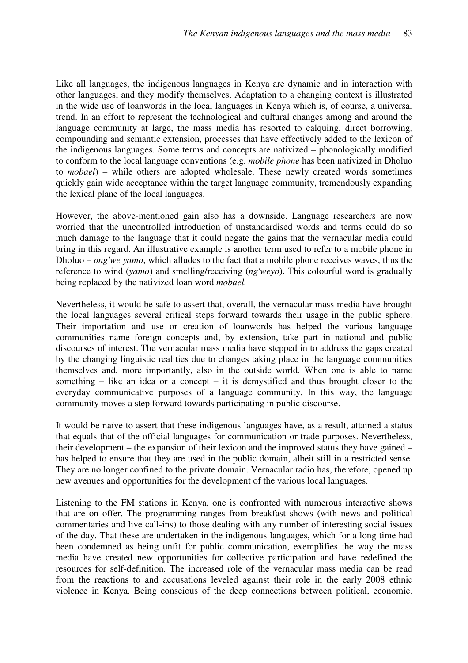Like all languages, the indigenous languages in Kenya are dynamic and in interaction with other languages, and they modify themselves. Adaptation to a changing context is illustrated in the wide use of loanwords in the local languages in Kenya which is, of course, a universal trend. In an effort to represent the technological and cultural changes among and around the language community at large, the mass media has resorted to calquing, direct borrowing, compounding and semantic extension, processes that have effectively added to the lexicon of the indigenous languages. Some terms and concepts are nativized – phonologically modified to conform to the local language conventions (e.g. *mobile phone* has been nativized in Dholuo to *mobael*) – while others are adopted wholesale. These newly created words sometimes quickly gain wide acceptance within the target language community, tremendously expanding the lexical plane of the local languages.

However, the above-mentioned gain also has a downside. Language researchers are now worried that the uncontrolled introduction of unstandardised words and terms could do so much damage to the language that it could negate the gains that the vernacular media could bring in this regard. An illustrative example is another term used to refer to a mobile phone in Dholuo – *ong'we yamo*, which alludes to the fact that a mobile phone receives waves, thus the reference to wind (*yamo*) and smelling/receiving (*ng'weyo*). This colourful word is gradually being replaced by the nativized loan word *mobael.*

Nevertheless, it would be safe to assert that, overall, the vernacular mass media have brought the local languages several critical steps forward towards their usage in the public sphere. Their importation and use or creation of loanwords has helped the various language communities name foreign concepts and, by extension, take part in national and public discourses of interest. The vernacular mass media have stepped in to address the gaps created by the changing linguistic realities due to changes taking place in the language communities themselves and, more importantly, also in the outside world. When one is able to name something – like an idea or a concept – it is demystified and thus brought closer to the everyday communicative purposes of a language community. In this way, the language community moves a step forward towards participating in public discourse.

It would be naïve to assert that these indigenous languages have, as a result, attained a status that equals that of the official languages for communication or trade purposes. Nevertheless, their development – the expansion of their lexicon and the improved status they have gained – has helped to ensure that they are used in the public domain, albeit still in a restricted sense. They are no longer confined to the private domain. Vernacular radio has, therefore, opened up new avenues and opportunities for the development of the various local languages.

Listening to the FM stations in Kenya, one is confronted with numerous interactive shows that are on offer. The programming ranges from breakfast shows (with news and political commentaries and live call-ins) to those dealing with any number of interesting social issues of the day. That these are undertaken in the indigenous languages, which for a long time had been condemned as being unfit for public communication, exemplifies the way the mass media have created new opportunities for collective participation and have redefined the resources for self-definition. The increased role of the vernacular mass media can be read from the reactions to and accusations leveled against their role in the early 2008 ethnic violence in Kenya. Being conscious of the deep connections between political, economic,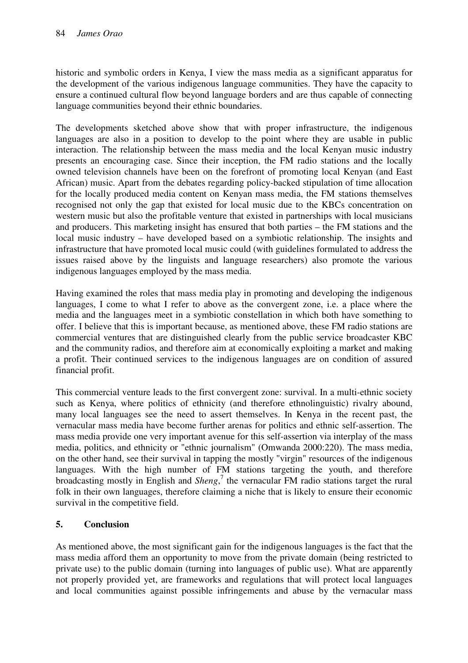historic and symbolic orders in Kenya, I view the mass media as a significant apparatus for the development of the various indigenous language communities. They have the capacity to ensure a continued cultural flow beyond language borders and are thus capable of connecting language communities beyond their ethnic boundaries.

The developments sketched above show that with proper infrastructure, the indigenous languages are also in a position to develop to the point where they are usable in public interaction. The relationship between the mass media and the local Kenyan music industry presents an encouraging case. Since their inception, the FM radio stations and the locally owned television channels have been on the forefront of promoting local Kenyan (and East African) music. Apart from the debates regarding policy-backed stipulation of time allocation for the locally produced media content on Kenyan mass media, the FM stations themselves recognised not only the gap that existed for local music due to the KBCs concentration on western music but also the profitable venture that existed in partnerships with local musicians and producers. This marketing insight has ensured that both parties – the FM stations and the local music industry – have developed based on a symbiotic relationship. The insights and infrastructure that have promoted local music could (with guidelines formulated to address the issues raised above by the linguists and language researchers) also promote the various indigenous languages employed by the mass media.

Having examined the roles that mass media play in promoting and developing the indigenous languages, I come to what I refer to above as the convergent zone, i.e. a place where the media and the languages meet in a symbiotic constellation in which both have something to offer. I believe that this is important because, as mentioned above, these FM radio stations are commercial ventures that are distinguished clearly from the public service broadcaster KBC and the community radios, and therefore aim at economically exploiting a market and making a profit. Their continued services to the indigenous languages are on condition of assured financial profit.

This commercial venture leads to the first convergent zone: survival. In a multi-ethnic society such as Kenya, where politics of ethnicity (and therefore ethnolinguistic) rivalry abound, many local languages see the need to assert themselves. In Kenya in the recent past, the vernacular mass media have become further arenas for politics and ethnic self-assertion. The mass media provide one very important avenue for this self-assertion via interplay of the mass media, politics, and ethnicity or "ethnic journalism" (Omwanda 2000:220). The mass media, on the other hand, see their survival in tapping the mostly "virgin" resources of the indigenous languages. With the high number of FM stations targeting the youth, and therefore broadcasting mostly in English and *Sheng*, 7 the vernacular FM radio stations target the rural folk in their own languages, therefore claiming a niche that is likely to ensure their economic survival in the competitive field.

# **5. Conclusion**

As mentioned above, the most significant gain for the indigenous languages is the fact that the mass media afford them an opportunity to move from the private domain (being restricted to private use) to the public domain (turning into languages of public use). What are apparently not properly provided yet, are frameworks and regulations that will protect local languages and local communities against possible infringements and abuse by the vernacular mass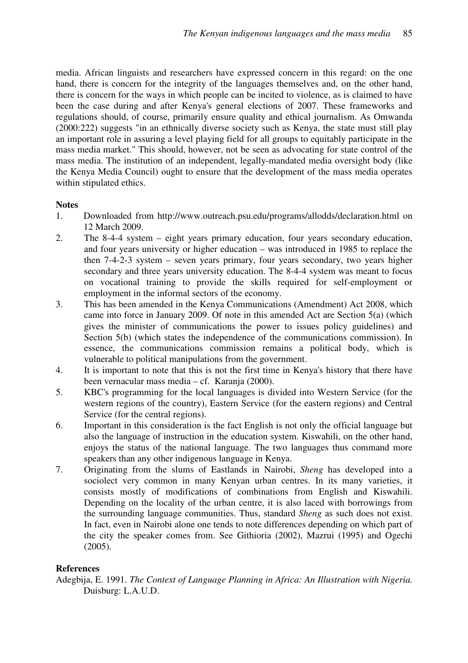media. African linguists and researchers have expressed concern in this regard: on the one hand, there is concern for the integrity of the languages themselves and, on the other hand, there is concern for the ways in which people can be incited to violence, as is claimed to have been the case during and after Kenya's general elections of 2007. These frameworks and regulations should, of course, primarily ensure quality and ethical journalism. As Omwanda (2000:222) suggests "in an ethnically diverse society such as Kenya, the state must still play an important role in assuring a level playing field for all groups to equitably participate in the mass media market." This should, however, not be seen as advocating for state control of the mass media. The institution of an independent, legally-mandated media oversight body (like the Kenya Media Council) ought to ensure that the development of the mass media operates within stipulated ethics.

### **Notes**

- 1. Downloaded from http://www.outreach.psu.edu/programs/allodds/declaration.html on 12 March 2009.
- 2. The 8-4-4 system eight years primary education, four years secondary education, and four years university or higher education – was introduced in 1985 to replace the then 7-4-2-3 system – seven years primary, four years secondary, two years higher secondary and three years university education. The 8-4-4 system was meant to focus on vocational training to provide the skills required for self-employment or employment in the informal sectors of the economy.
- 3. This has been amended in the Kenya Communications (Amendment) Act 2008, which came into force in January 2009. Of note in this amended Act are Section 5(a) (which gives the minister of communications the power to issues policy guidelines) and Section 5(b) (which states the independence of the communications commission). In essence, the communications commission remains a political body, which is vulnerable to political manipulations from the government.
- 4. It is important to note that this is not the first time in Kenya's history that there have been vernacular mass media – cf. Karanja (2000).
- 5. KBC's programming for the local languages is divided into Western Service (for the western regions of the country), Eastern Service (for the eastern regions) and Central Service (for the central regions).
- 6. Important in this consideration is the fact English is not only the official language but also the language of instruction in the education system. Kiswahili, on the other hand, enjoys the status of the national language. The two languages thus command more speakers than any other indigenous language in Kenya.
- 7. Originating from the slums of Eastlands in Nairobi, *Sheng* has developed into a sociolect very common in many Kenyan urban centres. In its many varieties, it consists mostly of modifications of combinations from English and Kiswahili. Depending on the locality of the urban centre, it is also laced with borrowings from the surrounding language communities. Thus, standard *Sheng* as such does not exist. In fact, even in Nairobi alone one tends to note differences depending on which part of the city the speaker comes from. See Githioria (2002), Mazrui (1995) and Ogechi (2005).

### **References**

Adegbija, E. 1991. *The Context of Language Planning in Africa: An Illustration with Nigeria.* Duisburg: L.A.U.D.